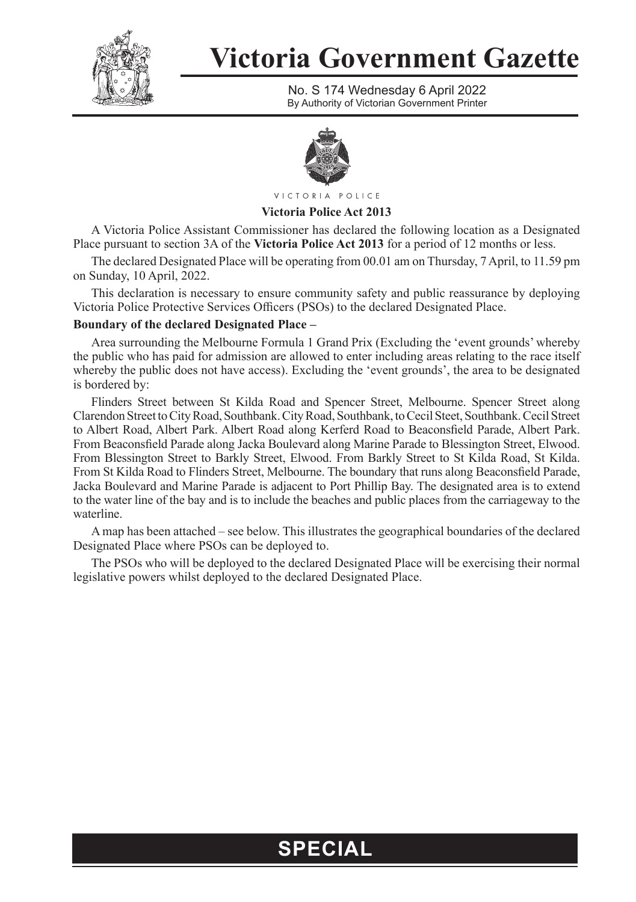

## **Victoria Government Gazette**

No. S 174 Wednesday 6 April 2022 By Authority of Victorian Government Printer



VICTORIA POLICE

#### **Victoria Police Act 2013**

A Victoria Police Assistant Commissioner has declared the following location as a Designated Place pursuant to section 3A of the **Victoria Police Act 2013** for a period of 12 months or less.

The declared Designated Place will be operating from 00.01 am on Thursday, 7 April, to 11.59 pm on Sunday, 10 April, 2022.

This declaration is necessary to ensure community safety and public reassurance by deploying Victoria Police Protective Services Officers (PSOs) to the declared Designated Place.

#### **Boundary of the declared Designated Place –**

Area surrounding the Melbourne Formula 1 Grand Prix (Excluding the 'event grounds' whereby the public who has paid for admission are allowed to enter including areas relating to the race itself whereby the public does not have access). Excluding the 'event grounds', the area to be designated is bordered by:

Flinders Street between St Kilda Road and Spencer Street, Melbourne. Spencer Street along Clarendon Street to City Road, Southbank. City Road, Southbank, to Cecil Steet, Southbank. CecilStreet to Albert Road, Albert Park. Albert Road along Kerferd Road to Beaconsfield Parade, Albert Park. From Beaconsfield Parade along Jacka Boulevard along Marine Parade to Blessington Street, Elwood. From Blessington Street to Barkly Street, Elwood. From Barkly Street to St Kilda Road, St Kilda. From St Kilda Road to Flinders Street, Melbourne. The boundary that runs along Beaconsfield Parade, Jacka Boulevard and Marine Parade is adjacent to Port Phillip Bay. The designated area is to extend to the water line of the bay and is to include the beaches and public places from the carriageway to the waterline.

A map has been attached – see below. This illustrates the geographical boundaries of the declared Designated Place where PSOs can be deployed to.

The PSOs who will be deployed to the declared Designated Place will be exercising their normal legislative powers whilst deployed to the declared Designated Place.

### **SPECIAL**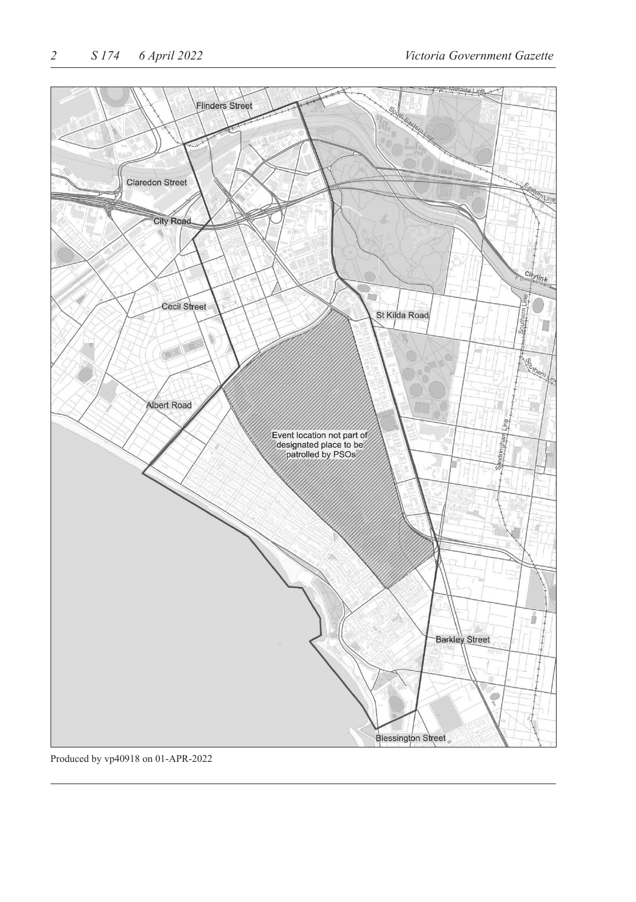

Produced by vp40918 on 01-APR-2022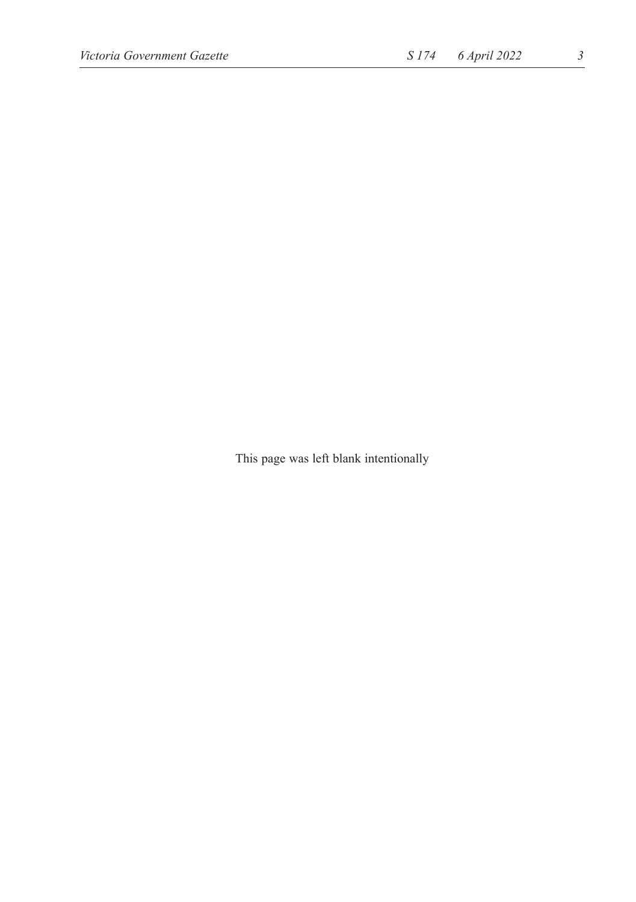This page was left blank intentionally